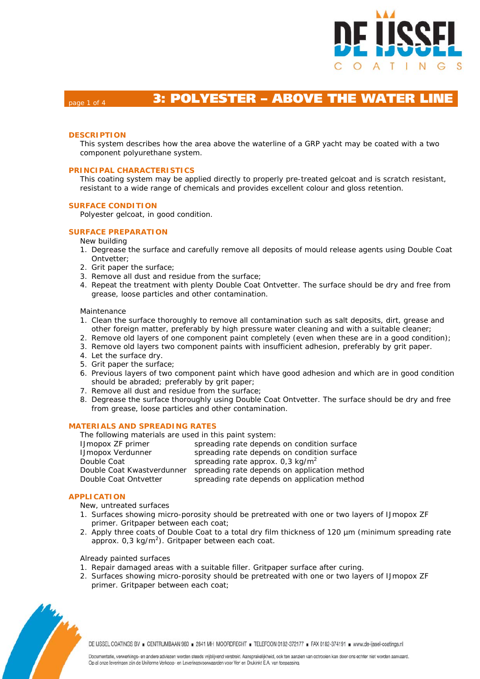

# **Bage 1 of 4 <b>3: POLYESTER - ABOVE THE WATER LIN**

# **DESCRIPTION**

This system describes how the area above the waterline of a GRP yacht may be coated with a two component polyurethane system.

# **PRINCIPAL CHARACTERISTICS**

This coating system may be applied directly to properly pre-treated gelcoat and is scratch resistant, resistant to a wide range of chemicals and provides excellent colour and gloss retention.

### **SURFACE CONDITION**

Polyester gelcoat, in good condition.

# **SURFACE PREPARATION**

New building

- 1. Degrease the surface and carefully remove all deposits of mould release agents using Double Coat Ontvetter;
- 2. Grit paper the surface;
- 3. Remove all dust and residue from the surface;
- 4. Repeat the treatment with plenty Double Coat Ontvetter. The surface should be dry and free from grease, loose particles and other contamination.

### Maintenance

- 1. Clean the surface thoroughly to remove all contamination such as salt deposits, dirt, grease and other foreign matter, preferably by high pressure water cleaning and with a suitable cleaner;
- 2. Remove old layers of one component paint completely (even when these are in a good condition);
- 3. Remove old layers two component paints with insufficient adhesion, preferably by grit paper.
- 4. Let the surface dry.
- 5. Grit paper the surface;
- 6. Previous layers of two component paint which have good adhesion and which are in good condition should be abraded; preferably by grit paper;
- 7. Remove all dust and residue from the surface;
- 8. Degrease the surface thoroughly using Double Coat Ontvetter. The surface should be dry and free from grease, loose particles and other contamination.

# **MATERIALS AND SPREADING RATES**

| The following materials are used in this paint system: |                                              |  |  |  |  |  |  |  |
|--------------------------------------------------------|----------------------------------------------|--|--|--|--|--|--|--|
| <b>IJmopox ZF primer</b>                               | spreading rate depends on condition surface  |  |  |  |  |  |  |  |
| <b>IJmopox Verdunner</b>                               | spreading rate depends on condition surface  |  |  |  |  |  |  |  |
| Double Coat                                            | spreading rate approx. $0.3 \text{ kg/m}^2$  |  |  |  |  |  |  |  |
| Double Coat Kwastverdunner                             | spreading rate depends on application method |  |  |  |  |  |  |  |
| Double Coat Ontvetter                                  | spreading rate depends on application method |  |  |  |  |  |  |  |

### **APPLICATION**

New, untreated surfaces

- 1. Surfaces showing micro-porosity should be pretreated with one or two layers of IJmopox ZF primer. Gritpaper between each coat;
- 2. Apply three coats of Double Coat to a total dry film thickness of 120  $\mu$ m (minimum spreading rate  $a$ pprox. 0,3 kg/m<sup>2</sup>). Gritpaper between each coat.

### Already painted surfaces

- 1. Repair damaged areas with a suitable filler. Gritpaper surface after curing.
- 2. Surfaces showing micro-porosity should be pretreated with one or two layers of IJmopox ZF primer. Gritpaper between each coat;



DE IJSSEL COATINGS BV E CENTRUMBAAN 960 E 2841 MH MOORDRECHT E TELEFOON 0182-372177 E FAX 0182-374191 E www.de-ijssel-coatings.nl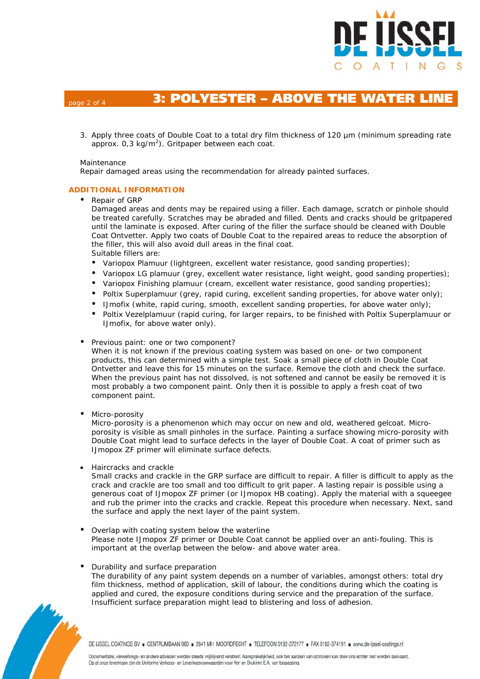

# page 2 of 4 **3: POLYESTER – ABOVE THE WATER LINE**

3. Apply three coats of Double Coat to a total dry film thickness of 120 µm (minimum spreading rate  $a$ pprox. 0,3 kg/m<sup>2</sup>). Gritpaper between each coat.

## Maintenance

Repair damaged areas using the recommendation for already painted surfaces.

# **ADDITIONAL INFORMATION**

# • Repair of GRP

Damaged areas and dents may be repaired using a filler. Each damage, scratch or pinhole should be treated carefully. Scratches may be abraded and filled. Dents and cracks should be gritpapered until the laminate is exposed. After curing of the filler the surface should be cleaned with Double Coat Ontvetter. Apply two coats of Double Coat to the repaired areas to reduce the absorption of the filler, this will also avoid dull areas in the final coat. Suitable fillers are:

- Variopox Plamuur (lightgreen, excellent water resistance, good sanding properties);
- Variopox LG plamuur (grey, excellent water resistance, light weight, good sanding properties);
- Variopox Finishing plamuur (cream, excellent water resistance, good sanding properties);
- Poltix Superplamuur (grey, rapid curing, excellent sanding properties, for above water only);
- IJmofix (white, rapid curing, smooth, excellent sanding properties, for above water only);
- Poltix Vezelplamuur (rapid curing, for larger repairs, to be finished with Poltix Superplamuur or IJmofix, for above water only).

# Previous paint: one or two component?

When it is not known if the previous coating system was based on one- or two component products, this can determined with a simple test. Soak a small piece of cloth in Double Coat Ontvetter and leave this for 15 minutes on the surface. Remove the cloth and check the surface. When the previous paint has not dissolved, is not softened and cannot be easily be removed it is most probably a two component paint. Only then it is possible to apply a fresh coat of two component paint.

# Micro-porosity

Micro-porosity is a phenomenon which may occur on new and old, weathered gelcoat. Microporosity is visible as small pinholes in the surface. Painting a surface showing micro-porosity with Double Coat might lead to surface defects in the layer of Double Coat. A coat of primer such as IJmopox ZF primer will eliminate surface defects.

• Haircracks and crackle

Small cracks and crackle in the GRP surface are difficult to repair. A filler is difficult to apply as the crack and crackle are too small and too difficult to grit paper. A lasting repair is possible using a generous coat of IJmopox ZF primer (or IJmopox HB coating). Apply the material with a squeegee and rub the primer into the cracks and crackle. Repeat this procedure when necessary. Next, sand the surface and apply the next layer of the paint system.

 Overlap with coating system below the waterline Please note IJmopox ZF primer or Double Coat cannot be applied over an anti-fouling. This is important at the overlap between the below- and above water area.

# Durability and surface preparation

The durability of any paint system depends on a number of variables, amongst others: total dry film thickness, method of application, skill of labour, the conditions during which the coating is applied and cured, the exposure conditions during service and the preparation of the surface. Insufficient surface preparation might lead to blistering and loss of adhesion.

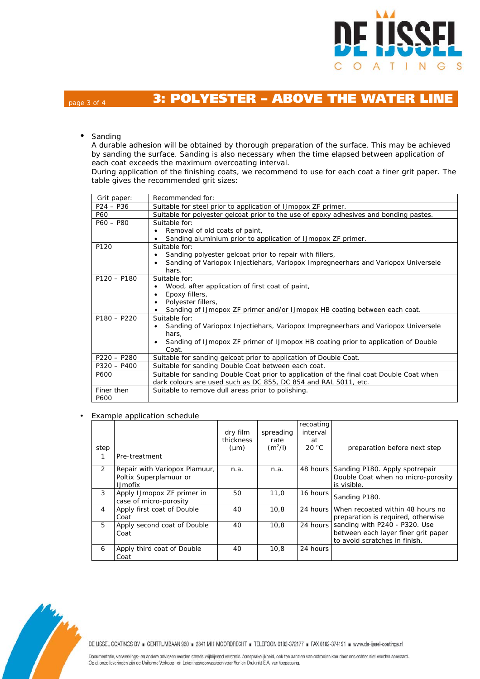

# page 3 of 4 **3: POLYESTER – ABOVE THE WATER LINE**

• Sanding

A durable adhesion will be obtained by thorough preparation of the surface. This may be achieved by sanding the surface. Sanding is also necessary when the time elapsed between application of each coat exceeds the maximum overcoating interval.

During application of the finishing coats, we recommend to use for each coat a finer grit paper. The table gives the recommended grit sizes:

| Grit paper:   | Recommended for:                                                                           |  |  |  |  |
|---------------|--------------------------------------------------------------------------------------------|--|--|--|--|
| $P24 - P36$   | Suitable for steel prior to application of IJmopox ZF primer.                              |  |  |  |  |
| P60           | Suitable for polyester gelcoat prior to the use of epoxy adhesives and bonding pastes.     |  |  |  |  |
| $P60 - P80$   | Suitable for:                                                                              |  |  |  |  |
|               | Removal of old coats of paint,                                                             |  |  |  |  |
|               | Sanding aluminium prior to application of IJmopox ZF primer.                               |  |  |  |  |
| P120          | Suitable for:                                                                              |  |  |  |  |
|               | Sanding polyester gelcoat prior to repair with fillers,                                    |  |  |  |  |
|               | Sanding of Variopox Injectiehars, Variopox Impregneerhars and Variopox Universele<br>hars. |  |  |  |  |
| $P120 - P180$ | Suitable for:                                                                              |  |  |  |  |
|               | Wood, after application of first coat of paint,                                            |  |  |  |  |
|               | Epoxy fillers,                                                                             |  |  |  |  |
|               | Polyester fillers,                                                                         |  |  |  |  |
|               | Sanding of IJmopox ZF primer and/or IJmopox HB coating between each coat.                  |  |  |  |  |
| $P180 - P220$ | Suitable for:                                                                              |  |  |  |  |
|               | Sanding of Variopox Injectiehars, Variopox Impregneerhars and Variopox Universele          |  |  |  |  |
|               | hars,                                                                                      |  |  |  |  |
|               | Sanding of IJmopox ZF primer of IJmopox HB coating prior to application of Double          |  |  |  |  |
|               | Coat.                                                                                      |  |  |  |  |
| $P220 - P280$ | Suitable for sanding gelcoat prior to application of Double Coat.                          |  |  |  |  |
| $P320 - P400$ | Suitable for sanding Double Coat between each coat.                                        |  |  |  |  |
| P600          | Suitable for sanding Double Coat prior to application of the final coat Double Coat when   |  |  |  |  |
|               | dark colours are used such as DC 855, DC 854 and RAL 5011, etc.                            |  |  |  |  |
| Finer then    | Suitable to remove dull areas prior to polishing.                                          |  |  |  |  |
| P600          |                                                                                            |  |  |  |  |

Example application schedule

| step           |                                                                            | dry film<br>thickness<br>$(\mu m)$ | spreading<br>rate<br>$(m^2/l)$ | recoating<br>interval<br>at<br>$20^{\circ}$ C | preparation before next step                                                                          |
|----------------|----------------------------------------------------------------------------|------------------------------------|--------------------------------|-----------------------------------------------|-------------------------------------------------------------------------------------------------------|
|                | Pre-treatment                                                              |                                    |                                |                                               |                                                                                                       |
| $\overline{2}$ | Repair with Variopox Plamuur,<br>Poltix Superplamuur or<br><b>I.Jmofix</b> | n.a.                               | n.a.                           | 48 hours                                      | Sanding P180. Apply spotrepair<br>Double Coat when no micro-porosity<br>is visible.                   |
| 3              | Apply IJmopox ZF primer in<br>case of micro-porosity                       | 50                                 | 11.0                           | 16 hours                                      | Sanding P180.                                                                                         |
| 4              | Apply first coat of Double<br>Coat                                         | 40                                 | 10.8                           | 24 hours                                      | When recoated within 48 hours no<br>preparation is required, otherwise                                |
| 5              | Apply second coat of Double<br>Coat                                        | 40                                 | 10.8                           | 24 hours                                      | sanding with P240 - P320. Use<br>between each layer finer grit paper<br>to avoid scratches in finish. |
| 6              | Apply third coat of Double<br>Coat                                         | 40                                 | 10.8                           | 24 hours                                      |                                                                                                       |